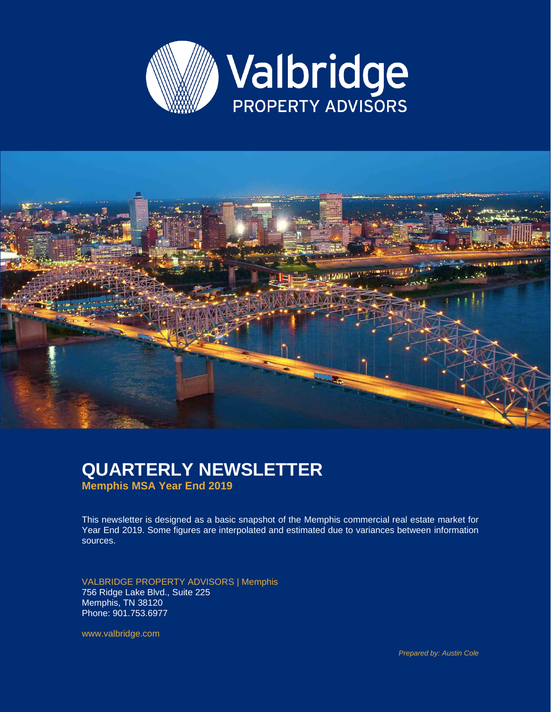



#### **QUARTERLY NEWSLETTER Memphis MSA Year End 2019**

This newsletter is designed as a basic snapshot of the Memphis commercial real estate market for Year End 2019. Some figures are interpolated and estimated due to variances between information sources.

VALBRIDGE PROPERTY ADVISORS | Memphis 756 Ridge Lake Blvd., Suite 225 Memphis, TN 38120 Phone: 901.753.6977

www.valbridge.com

*Prepared by: Austin Cole*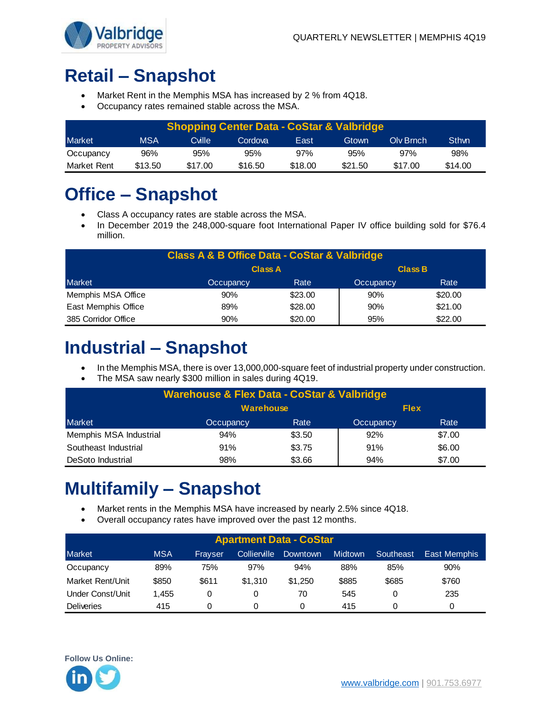

# **Retail – Snapshot**

- Market Rent in the Memphis MSA has increased by 2 % from 4Q18.
- Occupancy rates remained stable across the MSA.

| <b>Shopping Center Data - CoStar &amp; Valbridge</b> |         |         |         |         |         |           |              |  |  |
|------------------------------------------------------|---------|---------|---------|---------|---------|-----------|--------------|--|--|
| <b>Market</b>                                        | MSA     | Cville  | Cordova | East    | Gtown   | Oly Brnch | <b>Sthwn</b> |  |  |
| Occupancy                                            | 96%     | 95%     | 95%     | 97%     | 95%     | 97%       | 98%          |  |  |
| Market Rent                                          | \$13.50 | \$17.00 | \$16.50 | \$18.00 | \$21.50 | \$17.00   | \$14.00      |  |  |

### **Office – Snapshot**

- Class A occupancy rates are stable across the MSA.
- In December 2019 the 248,000-square foot International Paper IV office building sold for \$76.4 million.

| <b>Class A &amp; B Office Data - CoStar &amp; Valbridge</b> |                                        |         |     |         |  |  |  |  |
|-------------------------------------------------------------|----------------------------------------|---------|-----|---------|--|--|--|--|
|                                                             | <b>Class B</b><br><b>Class A</b>       |         |     |         |  |  |  |  |
| Market                                                      | Rate<br>Rate<br>Occupancy<br>Occupancy |         |     |         |  |  |  |  |
| Memphis MSA Office                                          | 90%                                    | \$23.00 | 90% | \$20.00 |  |  |  |  |
| East Memphis Office                                         | 89%                                    | \$28.00 | 90% | \$21.00 |  |  |  |  |
| 385 Corridor Office                                         | 90%                                    | \$20.00 | 95% | \$22.00 |  |  |  |  |

#### **Industrial – Snapshot**

- In the Memphis MSA, there is over 13,000,000-square feet of industrial property under construction.
- The MSA saw nearly \$300 million in sales during 4Q19.

| <b>Warehouse &amp; Flex Data - CoStar &amp; Valbridge</b> |           |        |           |        |  |  |  |  |
|-----------------------------------------------------------|-----------|--------|-----------|--------|--|--|--|--|
| <b>Warehouse</b><br><b>Flex</b>                           |           |        |           |        |  |  |  |  |
| Market                                                    | Occupancy | Rate   | Occupancy | Rate   |  |  |  |  |
| Memphis MSA Industrial                                    | 94%       | \$3.50 | 92%       | \$7.00 |  |  |  |  |
| Southeast Industrial                                      | 91%       | \$3.75 | 91%       | \$6.00 |  |  |  |  |
| DeSoto Industrial                                         | 98%       | \$3.66 | 94%       | \$7.00 |  |  |  |  |

### **Multifamily – Snapshot**

- Market rents in the Memphis MSA have increased by nearly 2.5% since 4Q18.
- Overall occupancy rates have improved over the past 12 months.

| <b>Apartment Data - CoStar</b> |            |         |                     |          |                |           |              |  |  |
|--------------------------------|------------|---------|---------------------|----------|----------------|-----------|--------------|--|--|
| <b>Market</b>                  | <b>MSA</b> | Fravser | <b>Collierville</b> | Downtown | <b>Midtown</b> | Southeast | East Memphis |  |  |
| Occupancy                      | 89%        | 75%     | 97%                 | 94%      | 88%            | 85%       | 90%          |  |  |
| Market Rent/Unit               | \$850      | \$611   | \$1.310             | \$1.250  | \$885          | \$685     | \$760        |  |  |
| Under Const/Unit               | 1.455      |         |                     | 70       | 545            | 0         | 235          |  |  |
| <b>Deliveries</b>              | 415        |         |                     |          | 415            |           | 0            |  |  |

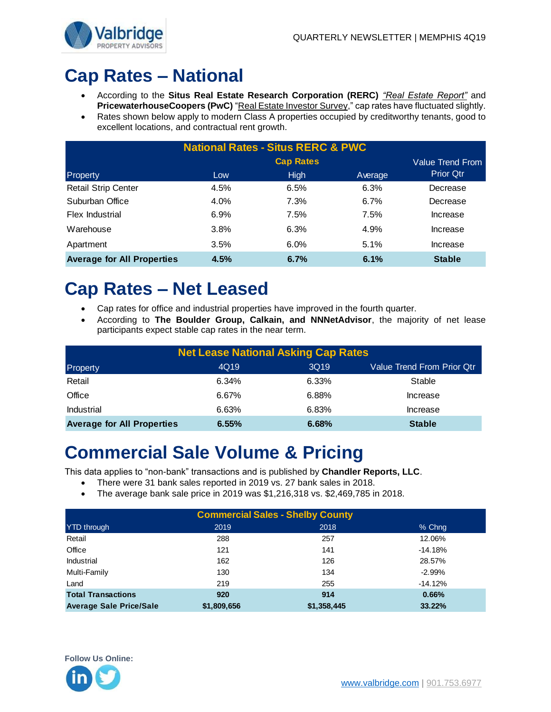

# **Cap Rates – National**

- According to the **Situs Real Estate Research Corporation (RERC)** *"Real Estate Report"* and **PricewaterhouseCoopers (PwC)** "Real Estate Investor Survey," cap rates have fluctuated slightly.
- Rates shown below apply to modern Class A properties occupied by creditworthy tenants, good to excellent locations, and contractual rent growth.

| <b>National Rates - Situs RERC &amp; PWC</b> |      |                  |         |                  |  |  |  |
|----------------------------------------------|------|------------------|---------|------------------|--|--|--|
|                                              |      | Value Trend From |         |                  |  |  |  |
| Property                                     | Low  | <b>High</b>      | Average | <b>Prior Qtr</b> |  |  |  |
| <b>Retail Strip Center</b>                   | 4.5% | 6.5%             | 6.3%    | Decrease         |  |  |  |
| Suburban Office                              | 4.0% | 7.3%             | 6.7%    | Decrease         |  |  |  |
| Flex Industrial                              | 6.9% | 7.5%             | 7.5%    | Increase         |  |  |  |
| Warehouse                                    | 3.8% | 6.3%             | 4.9%    | Increase         |  |  |  |
| Apartment                                    | 3.5% | 6.0%             | 5.1%    | Increase         |  |  |  |
| <b>Average for All Properties</b>            | 4.5% | 6.7%             | 6.1%    | <b>Stable</b>    |  |  |  |

#### **Cap Rates – Net Leased**

- Cap rates for office and industrial properties have improved in the fourth quarter.
- According to **The Boulder Group, Calkain, and NNNetAdvisor**, the majority of net lease participants expect stable cap rates in the near term.

| <b>Net Lease National Asking Cap Rates</b> |       |       |                                   |  |  |  |  |
|--------------------------------------------|-------|-------|-----------------------------------|--|--|--|--|
| Property                                   | 4Q19  | 3Q19  | <b>Value Trend From Prior Qtr</b> |  |  |  |  |
| Retail                                     | 6.34% | 6.33% | Stable                            |  |  |  |  |
| Office                                     | 6.67% | 6.88% | Increase                          |  |  |  |  |
| <b>Industrial</b>                          | 6.63% | 6.83% | Increase                          |  |  |  |  |
| <b>Average for All Properties</b>          | 6.55% | 6.68% | <b>Stable</b>                     |  |  |  |  |

#### **Commercial Sale Volume & Pricing**

This data applies to "non-bank" transactions and is published by **Chandler Reports, LLC**.

- There were 31 bank sales reported in 2019 vs. 27 bank sales in 2018.
- The average bank sale price in 2019 was \$1,216,318 vs. \$2,469,785 in 2018.

| <b>Commercial Sales - Shelby County</b> |             |             |           |  |  |  |  |
|-----------------------------------------|-------------|-------------|-----------|--|--|--|--|
| <b>YTD</b> through                      | 2019        | 2018        | % Chng    |  |  |  |  |
| Retail                                  | 288         | 257         | 12.06%    |  |  |  |  |
| Office                                  | 121         | 141         | $-14.18%$ |  |  |  |  |
| Industrial                              | 162         | 126         | 28.57%    |  |  |  |  |
| Multi-Family                            | 130         | 134         | $-2.99%$  |  |  |  |  |
| Land                                    | 219         | 255         | $-14.12%$ |  |  |  |  |
| <b>Total Transactions</b>               | 920         | 914         | 0.66%     |  |  |  |  |
| <b>Average Sale Price/Sale</b>          | \$1,809,656 | \$1,358,445 | 33.22%    |  |  |  |  |

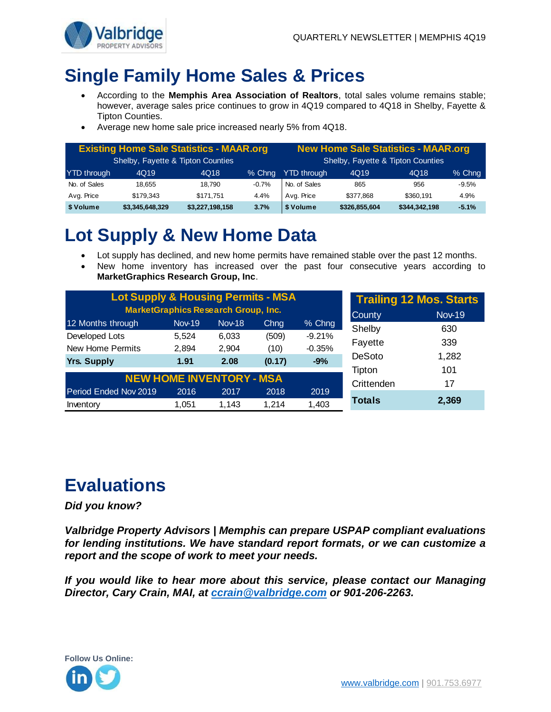

## **Single Family Home Sales & Prices**

- According to the **Memphis Area Association of Realtors**, total sales volume remains stable; however, average sales price continues to grow in 4Q19 compared to 4Q18 in Shelby, Fayette & Tipton Counties.
- Average new home sale price increased nearly 5% from 4Q18.

| <b>Existing Home Sale Statistics - MAAR.org</b> |                 |                 |         | <b>New Home Sale Statistics - MAAR.org</b> |                                   |               |         |  |
|-------------------------------------------------|-----------------|-----------------|---------|--------------------------------------------|-----------------------------------|---------------|---------|--|
| Shelby, Fayette & Tipton Counties               |                 |                 |         |                                            | Shelby, Fayette & Tipton Counties |               |         |  |
| <b>YTD</b> through                              | 4Q19            | 4Q18            | % Chng  | <b>YTD</b> through<br>4Q18<br>4Q19         |                                   |               |         |  |
| No. of Sales                                    | 18.655          | 18.790          | $-0.7%$ | No. of Sales                               | 865                               | 956           | $-9.5%$ |  |
| Avg. Price                                      | \$179.343       | \$171.751       | 4.4%    | Avg. Price                                 | \$377.868                         | \$360.191     | 4.9%    |  |
| \$ Volume                                       | \$3,345,648,329 | \$3,227,198,158 | 3.7%    | \$ Volume                                  | \$326,855,604                     | \$344,342,198 | $-5.1%$ |  |

# **Lot Supply & New Home Data**

- Lot supply has declined, and new home permits have remained stable over the past 12 months.
- New home inventory has increased over the past four consecutive years according to **MarketGraphics Research Group, Inc**.

| <b>Lot Supply &amp; Housing Permits - MSA</b> |               | <b>Trailing 12 Mos. Starts</b>  |        |          |               |       |
|-----------------------------------------------|---------------|---------------------------------|--------|----------|---------------|-------|
| <b>MarketGraphics Research Group, Inc.</b>    | <b>County</b> | <b>Nov-19</b>                   |        |          |               |       |
| 12 Months through                             | <b>Nov-19</b> | <b>Nov-18</b>                   | Chng   | % Chng   | Shelby        | 630   |
| Developed Lots                                | 5.524         | 6,033                           | (509)  | $-9.21%$ |               | 339   |
| <b>New Home Permits</b>                       | 2,894         | 2.904                           | (10)   | $-0.35%$ | Fayette       |       |
| <b>Yrs. Supply</b>                            | 1.91          | 2.08                            | (0.17) | $-9%$    | DeSoto        | 1,282 |
|                                               |               |                                 |        |          | Tipton        | 101   |
|                                               |               | <b>NEW HOME INVENTORY - MSA</b> |        |          | Crittenden    | 17    |
| Period Ended Nov 2019                         | 2016          | 2017                            | 2018   | 2019     |               |       |
| Inventory                                     | 1,051         | 1,143                           | 1.214  | 1,403    | <b>Totals</b> | 2,369 |

# **Evaluations**

#### *Did you know?*

*Valbridge Property Advisors | Memphis can prepare USPAP compliant evaluations for lending institutions. We have standard report formats, or we can customize a report and the scope of work to meet your needs.* 

*If you would like to hear more about this service, please contact our Managing Director, Cary Crain, MAI, at [ccrain@valbridge.com](mailto:ccrain@valbridge.com) or 901-206-2263.*